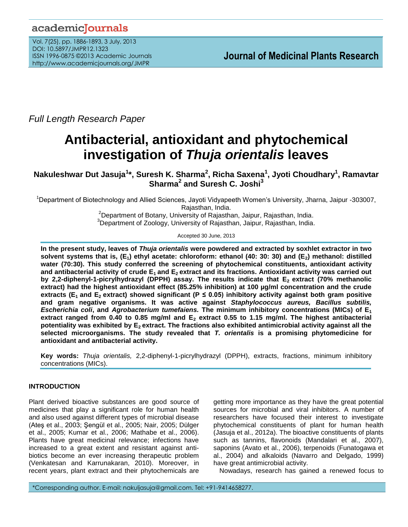# academicJournals

Vol. 7(25), pp. 1886-1893, 3 July, 2013 DOI: 10.5897/JMPR12.1323 ISSN 1996-0875 ©2013 Academic Journals http://www.academicjournals.org/JMPR

*Full Length Research Paper*

# **Antibacterial, antioxidant and phytochemical investigation of** *Thuja orientalis* **leaves**

**Nakuleshwar Dut Jasuja<sup>1</sup> \*, Suresh K. Sharma<sup>2</sup> , Richa Saxena<sup>1</sup> , Jyoti Choudhary<sup>1</sup> , Ramavtar Sharma<sup>2</sup> and Suresh C. Joshi<sup>3</sup>**

<sup>1</sup>Department of Biotechnology and Allied Sciences, Jayoti Vidyapeeth Women's University, Jharna, Jaipur -303007, Rajasthan, India.

<sup>2</sup>Department of Botany, University of Rajasthan, Jaipur, Rajasthan, India.  $3$ Department of Zoology, University of Rajasthan, Jaipur, Rajasthan, India.

Accepted 30 June, 2013

**In the present study, leaves of** *Thuja orientalis* **were powdered and extracted by soxhlet extractor in two solvent systems that is, (E1) ethyl acetate: chloroform: ethanol (40: 30: 30) and (E2) methanol: distilled water (70:30). This study conferred the screening of phytochemical constituents, antioxidant activity and antibacterial activity of crude E1 and E2 extract and its fractions. Antioxidant activity was carried out by 2,2-diphenyl-1-picrylhydrazyl (DPPH) assay. The results indicate that E2 extract (70% methanolic extract) had the highest antioxidant effect (85.25% inhibition) at 100 µg/ml concentration and the crude extracts (E<sub>1</sub> and E<sub>2</sub> extract) showed significant (P**  $\leq$  **0.05) inhibitory activity against both gram positive and gram negative organisms. It was active against** *Staphylococcus aureus, Bacillus subtilis, Escherichia coli***, and** *Agrobacterium tumefaiens.* **The minimum inhibitory concentrations (MICs) of E<sup>1</sup> extract ranged from 0.40 to 0.85 mg/ml and E<sup>2</sup> extract 0.55 to 1.15 mg/ml. The highest antibacterial potentiality was exhibited by E2 extract. The fractions also exhibited antimicrobial activity against all the selected microorganisms. The study revealed that** *T. orientalis* **is a promising phytomedicine for antioxidant and antibacterial activity.**

**Key words:** *Thuja orientalis,* 2,2-diphenyl-1-picrylhydrazyl (DPPH), extracts, fractions, minimum inhibitory concentrations (MICs).

# **INTRODUCTION**

Plant derived bioactive substances are good source of medicines that play a significant role for human health and also used against different types of microbial disease (Ateş et al., 2003; Şengül et al., 2005; Nair, 2005; Dülger et al., 2005; Kumar et al., 2006; Mathabe et al., 2006). Plants have great medicinal relevance; infections have increased to a great extent and resistant against antibiotics become an ever increasing therapeutic problem (Venkatesan and Karrunakaran, 2010). Moreover, in recent years, plant extract and their phytochemicals are

getting more importance as they have the great potential sources for microbial and viral inhibitors. A number of researchers have focused their interest to investigate phytochemical constituents of plant for human health (Jasuja et al., 2012a). The bioactive constituents of plants such as tannins, flavonoids (Mandalari et al., 2007), saponins (Avato et al., 2006), terpenoids (Funatogawa et al., 2004) and alkaloids (Navarro and Delgado, 1999) have great antimicrobial activity.

Nowadays, research has gained a renewed focus to

\*Corresponding author. E-mail: nakuljasuja@gmail.com. Tel: +91-9414658277.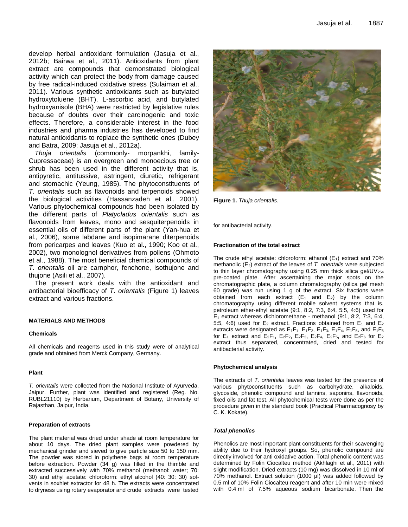develop herbal antioxidant formulation (Jasuja et al., 2012b; Bairwa et al., 2011). Antioxidants from plant extract are compounds that demonstrated biological activity which can protect the body from damage caused by free radical-induced oxidative stress (Sulaiman et al., 2011). Various synthetic antioxidants such as butylated hydroxytoluene (BHT), L-ascorbic acid, and butylated hydroxyanisole (BHA) were restricted by legislative rules because of doubts over their carcinogenic and toxic effects. Therefore, a considerable interest in the food industries and pharma industries has developed to find natural antioxidants to replace the synthetic ones (Dubey and Batra, 2009; Jasuja et al., 2012a).

*Thuja orientalis* (commonly- morpankhi, family-Cupressaceae) is an evergreen and monoecious tree or shrub has been used in the different activity that is, antipyretic, antitussive, astringent, diuretic, refrigerant and stomachic (Yeung, 1985). The phytoconstituents of *T. orientalis* such as flavonoids and terpenoids showed the biological activities (Hassanzadeh et al., 2001). Various phytochemical compounds had been isolated by the different parts of *Platycladus orientalis* such as flavonoids from leaves, mono and sesquiterpenoids in essential oils of different parts of the plant (Yan-hua et al., 2006), some labdane and isopimarane diterpenoids from pericarpes and leaves (Kuo et al., 1990; Koo et al., 2002), two monolognol derivatives from pollens (Ohmoto et al., 1988). The most beneficial chemical compounds of *T. orientalis* oil are carnphor, fenchone, isothujone and thujone (Asili et al., 2007).

The present work deals with the antioxidant and antibacterial bioefficacy of *T. orientalis* (Figure 1) leaves extract and various fractions.

#### **MATERIALS AND METHODS**

#### **Chemicals**

All chemicals and reagents used in this study were of analytical grade and obtained from Merck Company, Germany.

#### **Plant**

*T. orientalis* were collected from the National Institute of Ayurveda, Jaipur. Further, plant was identified and registered (Reg. No. RUBL21110) by Herbarium, Department of Botany, University of Rajasthan, Jaipur, India.

#### **Preparation of extracts**

The plant material was dried under shade at room temperature for about 10 days. The dried plant samples were powdered by mechanical grinder and sieved to give particle size 50 to 150 mm. The powder was stored in polythene bags at room temperature before extraction. Powder (34 g) was filled in the thimble and extracted successively with 70% methanol (methanol: water; 70: 30) and ethyl acetate: chloroform: ethyl alcohol (40: 30: 30) solvents in soxhlet extractor for 48 h. The extracts were concentrated to dryness using rotary evaporator and crude extracts were tested



**Figure 1.** *Thuja orientalis.*

for antibacterial activity.

#### **Fractionation of the total extract**

The crude ethyl acetate: chloroform: ethanol  $(E_1)$  extract and 70% methanolic (E2) extract of the leaves of *T. orientalis* were subjected to thin layer chromatography using 0.25 mm thick silica gel/UV $_{254}$ pre-coated plate. After ascertaining the major spots on the chromatographic plate, a column chromatography (silica gel mesh 60 grade) was run using 1 g of the extract. Six fractions were obtained from each extract  $(E_1 \text{ and } E_2)$  by the column chromatography using different mobile solvent systems that is, petroleum ether-ethyl acetate (9:1, 8:2, 7:3, 6:4, 5:5, 4:6) used for  $E_1$  extract whereas dichloromethane - methanol (9:1, 8:2, 7:3, 6:4, 5:5, 4:6) used for  $E_2$  extract. Fractions obtained from  $E_1$  and  $E_2$ extracts were designated as  $E_1F_1$ ,  $E_1F_2$ ,  $E_1F_3$ ,  $E_1F_4$ ,  $E_1F_5$ , and  $E_1F_6$ for  $E_1$  extract and  $E_2F_1$ ,  $E_2F_2$ ,  $E_2F_3$ ,  $E_2F_4$ ,  $E_2F_5$ , and  $E_2F_6$  for  $E_2$ extract thus separated, concentrated, dried and tested for antibacterial activity.

#### **Phytochemical analysis**

The extracts of *T. orientalis* leaves was tested for the presence of various phytoconstituents such as carbohydrate, alkaloids, glycoside, phenolic compound and tannins, saponins, flavonoids, fixed oils and fat test. All phytochemical tests were done as per the procedure given in the standard book (Practical Pharmacognosy by C. K. Kokate).

#### *Total phenolics*

Phenolics are most important plant constituents for their scavenging ability due to their hydroxyl groups. So, phenolic compound are directly involved for anti oxidative action. Total phenolic content was determined by Folin Ciocalteu method (Akhlaghi et al., 2011) with slight modification. Dried extracts (10 mg) was dissolved in 10 ml of 70% methanol. Extract solution (1000 µl) was added followed by 0.5 ml of 10% Folin Ciocalteu reagent and after 10 min were mixed with 0.4 ml of 7.5% aqueous sodium bicarbonate. Then the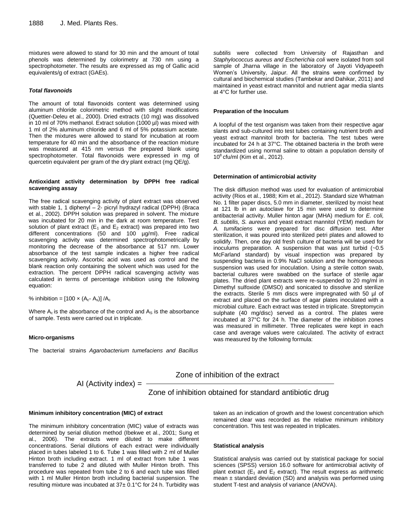mixtures were allowed to stand for 30 min and the amount of total phenols was determined by colorimetry at 730 nm using a spectrophotometer. The results are expressed as mg of Gallic acid equivalents/g of extract (GAEs).

#### *Total flavonoids*

The amount of total flavonoids content was determined using aluminum chloride colorimetric method with slight modifications (Quettier-Deleu et al., 2000). Dried extracts (10 mg) was dissolved in 10 ml of 70% methanol. Extract solution (1000 µl) was mixed with 1 ml of 2% aluminum chloride and 6 ml of 5% potassium acetate. Then the mixtures were allowed to stand for incubation at room temperature for 40 min and the absorbance of the reaction mixture was measured at 415 nm versus the prepared blank using spectrophotometer. Total flavonoids were expressed in mg of quercetin equivalent per gram of the dry plant extract (mg QE/g).

#### **Antioxidant activity determination by DPPH free radical scavenging assay**

The free radical scavenging activity of plant extract was observed with stable 1, 1 diphenyl – 2- picryl hydrazyl radical (DPPH) (Braca et al., 2002). DPPH solution was prepared in solvent. The mixture was incubated for 20 min in the dark at room temperature. Test solution of plant extract ( $E_1$  and  $E_2$  extract) was prepared into two different concentrations (50 and 100 µg/ml). Free radical scavenging activity was determined spectrophotometrically by monitoring the decrease of the absorbance at 517 nm. Lower absorbance of the test sample indicates a higher free radical scavenging activity. Ascorbic acid was used as control and the blank reaction only containing the solvent which was used for the extraction. The percent DPPH radical scavenging activity was calculated in terms of percentage inhibition using the following equation:

% inhibition =  $[100 \times (A<sub>c</sub> - A<sub>s</sub>)]/A<sub>c</sub>$ 

Where  $A_c$  is the absorbance of the control and  $A_s$  is the absorbance of sample. Tests were carried out in triplicate.

#### **Micro-organisms**

The bacterial strains *Agarobacterium tumefaciens and Bacillus*

*subtilis* were collected from University of Rajasthan and *Staphylococcus aureus and Escherichia coli* were isolated from soil sample of Jharna village in the laboratory of Jayoti Vidyapeeth Women's University, Jaipur. All the strains were confirmed by cultural and biochemical studies (Tambekar and Dahikar, 2011) and maintained in yeast extract mannitol and nutrient agar media slants at 4°C for further use.

#### **Preparation of the Inoculum**

A loopful of the test organism was taken from their respective agar slants and sub-cultured into test tubes containing nutrient broth and yeast extract mannitol broth for bacteria. The test tubes were incubated for 24 h at 37°C. The obtained bacteria in the broth were standardized using normal saline to obtain a population density of  $10<sup>8</sup>$  cfu/ml (Kim et al., 2012).

#### **Determination of antimicrobial activity**

The disk diffusion method was used for evaluation of antimicrobial activity (Rios et al., 1988; Kim et al., 2012). Standard size Whatman No. 1 filter paper discs, 5.0 mm in diameter, sterilized by moist heat at 121 lb in an autoclave for 15 min were used to determine antibacterial activity. Muller hinton agar (MHA) medium for *E. coli, B. subtilis, S. aureus* and yeast extract mannitol (YEM) medium for *A. tumifaciens* were prepared for disc diffusion test. After sterilization, it was poured into sterilized petri plates and allowed to solidify. Then, one day old fresh culture of bacteria will be used for inoculums preparation. A suspension that was just turbid (~0.5 McFarland standard) by visual inspection was prepared by suspending bacteria in 0.9% NaCl solution and the homogeneous suspension was used for inoculation. Using a sterile cotton swab, bacterial cultures were swabbed on the surface of sterile agar plates. The dried plant extracts were re-suspended to 20 mg/ml in Dimethyl sulfoxide (DMSO) and sonicated to dissolve and sterilize the extracts. Sterile 5 mm discs were impregnated with 50 µl of extract and placed on the surface of agar plates inoculated with a microbial culture. Each extract was tested in triplicate. Streptomycin sulphate (40 mg/disc) served as a control. The plates were incubated at 37°C for 24 h. The diameter of the inhibition zones was measured in millimeter. Three replicates were kept in each case and average values were calculated. The activity of extract was measured by the following formula:

Zone of inhibition of the extract

AI (Activity index)  $=$  -

Zone of inhibition obtained for standard antibiotic drug

#### **Minimum inhibitory concentration (MIC) of extract**

The minimum inhibitory concentration (MIC) value of extracts was determined by serial dilution method (Ibekwe et al., 2001; Sung et al., 2006). The extracts were diluted to make different concentrations. Serial dilutions of each extract were individually placed in tubes labeled 1 to 6. Tube 1 was filled with 2 ml of Muller Hinton broth including extract. 1 ml of extract from tube 1 was transferred to tube 2 and diluted with Muller Hinton broth. This procedure was repeated from tube 2 to 6 and each tube was filled with 1 ml Muller Hinton broth including bacterial suspension. The resulting mixture was incubated at  $37\pm0.1^{\circ}$ C for 24 h. Turbidity was taken as an indication of growth and the lowest concentration which remained clear was recorded as the relative minimum inhibitory concentration. This test was repeated in triplicates.

#### **Statistical analysis**

Statistical analysis was carried out by statistical package for social sciences (SPSS) version 16.0 software for antimicrobial activity of plant extract ( $E_1$  and  $E_2$  extract). The result express as arithmetic mean  $\pm$  standard deviation (SD) and analysis was performed using student T-test and analysis of variance (ANOVA).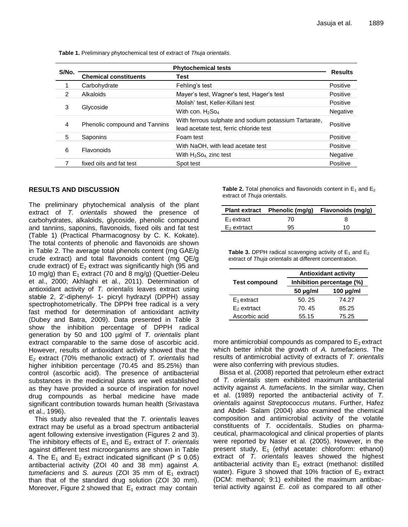| S/No. | <b>Phytochemical tests</b>    |                                                       |          |  |
|-------|-------------------------------|-------------------------------------------------------|----------|--|
|       | <b>Chemical constituents</b>  | Test                                                  |          |  |
|       | Carbohydrate                  | Fehling's test                                        | Positive |  |
| 2     | Alkaloids                     | Mayer's test, Wagner's test, Hager's test             | Positive |  |
| 3     | Glycoside                     | Molish' test, Keller-Killani test                     | Positive |  |
|       |                               | With con. $H_2$ So <sub>4</sub>                       | Negative |  |
| 4     | Phenolic compound and Tannins | With ferrous sulphate and sodium potassium Tartarate, | Positive |  |
|       |                               | lead acetate test, ferric chloride test               |          |  |
| 5     | Saponins                      | Foam test                                             | Positive |  |
| 6     | Flavonoids                    | With NaOH, with lead acetate test                     | Positive |  |
|       |                               | With $H_2$ So <sub>4</sub> , zinc test                | Negative |  |
|       | fixed oils and fat test       | Spot test                                             | Positive |  |
|       |                               |                                                       |          |  |

**Table 1.** Preliminary phytochemical test of extract of *Thuja orientalis*.

#### **RESULTS AND DISCUSSION**

The preliminary phytochemical analysis of the plant extract of *T. orientalis* showed the presence of carbohydrates, alkaloids, glycoside, phenolic compound and tannins, saponins, flavonoids, fixed oils and fat test (Table 1) (Practical Pharmacognosy by C. K. Kokate). The total contents of phenolic and flavonoids are shown in Table 2. The average total phenols content (mg GAE/g crude extract) and total flavonoids content (mg QE/g crude extract) of  $E_2$  extract was significantly high (95 and 10 mg/g) than  $E_1$  extract (70 and 8 mg/g) (Quettier-Deleu et al., 2000; Akhlaghi et al., 2011). Determination of antioxidant activity of *T. orientalis* leaves extract using stable 2, 2'-diphenyl- 1- picryl hydrazyl (DPPH) assay spectrophotometrically. The DPPH free radical is a very fast method for determination of antioxidant activity (Dubey and Batra, 2009). Data presented in Table 3 show the inhibition percentage of DPPH radical generation by 50 and 100 µg/ml of *T. orientalis* plant extract comparable to the same dose of ascorbic acid. However, results of antioxidant activity showed that the E<sup>2</sup> extract (70% methanolic extract) of *T. orientalis* had higher inhibition percentage (70.45 and 85.25%) than control (ascorbic acid). The presence of antibacterial substances in the medicinal plants are well established as they have provided a source of inspiration for novel drug compounds as herbal medicine have made significant contribution towards human health (Srivastava et al., 1996).

This study also revealed that the *T. orientalis* leaves extract may be useful as a broad spectrum antibacterial agent following extensive investigation (Figures 2 and 3). The inhibitory effects of  $E_1$  and  $E_2$  extract of *T. orientalis* against different test microorganisms are shown in Table 4. The  $E_1$  and  $E_2$  extract indicated significant (P  $\leq$  0.05) antibacterial activity (ZOI 40 and 38 mm) against *A. tumefaciens* and *S. aureus* (ZOI 35 mm of  $E_1$  extract) than that of the standard drug solution (ZOI 30 mm). Moreover, Figure 2 showed that  $E_1$  extract may contain

**Table 2.** Total phenolics and flavonoids content in  $E_1$  and  $E_2$ extract of *Thuja orientalis.*

|                | Plant extract Phenolic (mg/g) | Flavonoids (mg/g) |
|----------------|-------------------------------|-------------------|
| $E_1$ extract  | 70                            | 8                 |
| $E_2$ extrtact | 95                            | 10                |

**Table 3.** DPPH radical scavenging activity of  $E_1$  and  $E_2$ extract of *Thuja orientalis* at different concentration.

|                      | <b>Antioxidant activity</b> |                |  |  |
|----------------------|-----------------------------|----------------|--|--|
| <b>Test compound</b> | Inhibition percentage (%)   |                |  |  |
|                      | $50 \mu g/ml$               | $100 \mu g/ml$ |  |  |
| $E_1$ extract        | 50.25                       | 74.27          |  |  |
| $E2$ extrtact        | 70.45                       | 85.25          |  |  |
| Ascorbic acid        | 55.15                       | 75.25          |  |  |

more antimicrobial compounds as compared to  $E_2$  extract which better inhibit the growth of *A. tumefaciens*. The results of antimicrobial activity of extracts of *T. orientalis* were also conferring with previous studies.

Bissa et al. (2008) reported that petroleum ether extract of *T. orientalis* stem exhibited maximum antibacterial activity against *A. tumefaciens*. In the similar way, Chen et al. (1989) reported the antibacterial activity of *T. orientalis* against *Streptococcus mutans*. Further, Hafez and Abdel- Salam (2004) also examined the chemical composition and antimicrobial activity of the volatile constituents of *T. occidentalis*. Studies on pharmaceutical, pharmacological and clinical properties of plants were reported by Naser et al. (2005). However, in the present study,  $E_1$  (ethyl acetate: chloroform: ethanol) extract of *T. orientalis* leaves showed the highest antibacterial activity than  $E_2$  extract (methanol: distilled water). Figure 3 showed that 10% fraction of  $E_2$  extract (DCM: methanol; 9:1) exhibited the maximum antibacterial activity against *E. coli* as compared to all other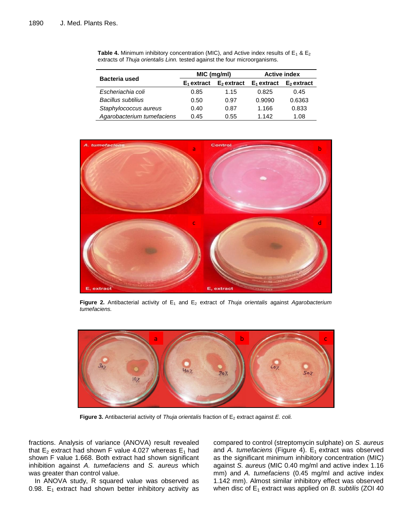| <b>Bacteria used</b>       | MIC (mg/ml)   |              | <b>Active index</b> |              |
|----------------------------|---------------|--------------|---------------------|--------------|
|                            | $E_1$ extract | $E2$ extract | $E_1$ extract       | $E2$ extract |
| Escheriachia coli          | 0.85          | 1.15         | 0.825               | 0.45         |
| <b>Bacillus subtilius</b>  | 0.50          | 0.97         | 0.9090              | 0.6363       |
| Staphylococcus aureus      | 0.40          | 0.87         | 1.166               | 0.833        |
| Agarobacterium tumefaciens | 0.45          | 0.55         | 1.142               | 1.08         |

**Table 4.** Minimum inhibitory concentration (MIC), and Active index results of  $E_1 \& E_2$ extracts of *Thuja orientalis Linn.* tested against the four microorganisms.



**Figure 2.** Antibacterial activity of E<sub>1</sub> and E<sub>2</sub> extract of *Thuja orientalis* against *Agarobacterium tumefaciens.*



Figure 3. Antibacterial activity of *Thuja orientalis* fraction of E<sub>2</sub> extract against *E. coli.* 

fractions. Analysis of variance (ANOVA) result revealed that  $E_2$  extract had shown F value 4.027 whereas  $E_1$  had shown F value 1.668. Both extract had shown significant inhibition against *A. tumefaciens* and *S. aureus* which was greater than control value.

In ANOVA study, R squared value was observed as 0.98.  $E_1$  extract had shown better inhibitory activity as

compared to control (streptomycin sulphate) on *S. aureus* and A. tumefaciens (Figure 4).  $E_1$  extract was observed as the significant minimum inhibitory concentration (MIC) against *S. aureus* (MIC 0.40 mg/ml and active index 1.16 mm) and *A. tumefaciens* (0.45 mg/ml and active index 1.142 mm). Almost similar inhibitory effect was observed when disc of E<sub>1</sub> extract was applied on *B. subtilis* (ZOI 40)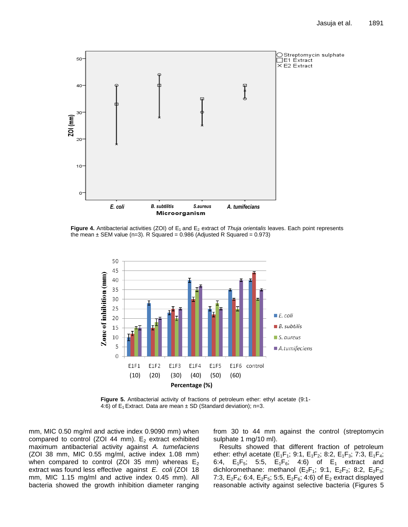

**Figure 4.** Antibacterial activities (ZOI) of E<sub>1</sub> and E<sub>2</sub> extract of *Thuja orientalis* leaves. Each point represents the mean  $\pm$  SEM value (n=3). R Squared = 0.986 (Adjusted R Squared = 0.973)



**Figure 5.** Antibacterial activity of fractions of petroleum ether: ethyl acetate (9:1- 4:6) of  $E_1$  Extract. Data are mean  $\pm$  SD (Standard deviation); n=3.

mm, MIC 0.50 mg/ml and active index 0.9090 mm) when compared to control (ZOI 44 mm).  $E_2$  extract exhibited maximum antibacterial activity against *A. tumefaciens* (ZOI 38 mm, MIC 0.55 mg/ml, active index 1.08 mm) when compared to control (ZOI 35 mm) whereas  $E_2$ extract was found less effective against *E. coli* (ZOI 18 mm, MIC 1.15 mg/ml and active index 0.45 mm). All bacteria showed the growth inhibition diameter ranging

from 30 to 44 mm against the control (streptomycin sulphate 1 mg/10 ml).

Results showed that different fraction of petroleum ether: ethyl acetate ( $E_1F_1$ ; 9:1,  $E_1F_2$ ; 8:2,  $E_1F_3$ ; 7:3,  $E_1F_4$ ; 6:4,  $E_1F_5$ ; 5:5,  $E_1F_6$ ; 4:6) of  $E_1$  extract and dichloromethane: methanol ( $E_2F_1$ ; 9:1,  $E_2F_2$ ; 8:2,  $E_2F_3$ ; 7:3,  $E_2F_4$ ; 6:4,  $E_2F_5$ ; 5:5,  $E_2F_6$ ; 4:6) of  $E_2$  extract displayed reasonable activity against selective bacteria (Figures 5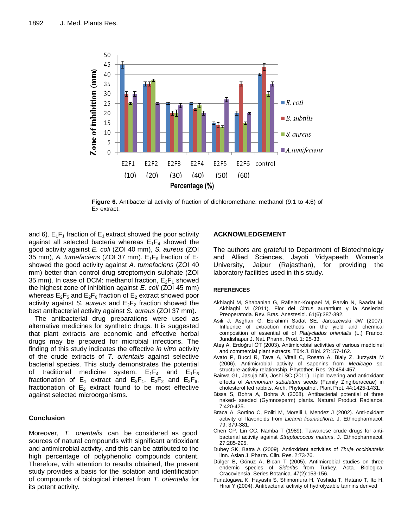

**Figure 6.** Antibacterial activity of fraction of dichloromethane: methanol (9:1 to 4:6) of  $E_2$  extract.

and 6).  $E_1F_1$  fraction of  $E_1$  extract showed the poor activity against all selected bacteria whereas  $E_1F_4$  showed the good activity against *E. coli* (ZOI 40 mm), *S. aureus* (ZOI 35 mm), A. tumefaciens (ZOI 37 mm).  $E_1F_6$  fraction of  $E_1$ showed the good activity against *A. tumefaciens* (ZOI 40 mm) better than control drug streptomycin sulphate (ZOI 35 mm). In case of DCM: methanol fraction,  $E_2F_1$  showed the highest zone of inhibition against *E. coli* (ZOI 45 mm) whereas  $E_2F_5$  and  $E_2F_6$  fraction of  $E_2$  extract showed poor activity against *S. aureus* and  $E_2F_2$  fraction showed the best antibacterial activity against *S. aureus* (ZOI 37 mm).

The antibacterial drug preparations were used as alternative medicines for synthetic drugs. It is suggested that plant extracts are economic and effective herbal drugs may be prepared for microbial infections. The finding of this study indicates the effective *in vitro* activity of the crude extracts of *T. orientalis* against selective bacterial species. This study demonstrates the potential of traditional medicine system.  $E_1F_4$  and  $E_1F_6$ fractionation of  $E_1$  extract and  $E_2F_1$ ,  $E_2F_2$  and  $E_2F_6$ , fractionation of  $E_2$  extract found to be most effective against selected microorganisms.

### **Conclusion**

Moreover, *T. orientalis* can be considered as good sources of natural compounds with significant antioxidant and antimicrobial activity, and this can be attributed to the high percentage of polyphenolic compounds content. Therefore, with attention to results obtained, the present study provides a basis for the isolation and identification of compounds of biological interest from *T. orientalis* for its potent activity.

## **ACKNOWLEDGEMENT**

The authors are grateful to Department of Biotechnology and Allied Sciences, Jayoti Vidyapeeth Women's University, Jaipur (Rajasthan), for providing the laboratory facilities used in this study.

#### **REFERENCES**

- Akhlaghi M, Shabanian G, Rafieian-Koupaei M, Parvin N, Saadat M, Akhlaghi M (2011). Flor del Citrus aurantium y la Ansiedad Preoperatoria. Rev. Bras. Anestesiol. 61(6):387-392.
- Asili J*,* Asghari G*,* Ebrahimi Sadat SE, Jaroszewski JW (2007). Influence of extraction methods on the yield and chemical composition of essential oil of *Platycladus orientalis* (L.) Franco. Jundishapur J. Nat. Pharm. Prod. 1: 25-33.
- Ateş A, Erdoğrul ÖT (2003). Antimicrobial activities of various medicinal and commercial plant extracts. Türk J. Biol. 27:157-162.
- Avato P, Bucci R, Tava A, Vitali C, Rosato A, Bialy Z, Jurzysta M (2006). Antimicrobial activity of saponins from *Medicago* sp. structure-activity relationship. Phytother. Res. 20:454-457.
- Bairwa GL, Jasuja ND, Joshi SC (2011). Lipid lowering and antioxidant effects of *Ammomum subulatum* seeds (Family Zingiberaceae) in cholesterol fed rabbits. Arch. Phytopathol. Plant Prot. 44:1425-1431.
- Bissa S, Bohra A, Bohra A (2008). Antibacterial potential of three naked- seeded (Gymnosperm) plants. Natural Product Radiance. 7:420-425.
- Braca A, Sortino C, Politi M, Morelli I, Mendez J (2002). Anti-oxidant activity of flavonoids from *Licania licaniaeflora*. J. Ethnopharmacol. 79: 379-381.
- Chen CP, Lin CC, Namba T (1989). Taiwanese crude drugs for antibacterial activity against *Streptococcus mutans*. J. Ethnopharmacol. 27:285-295.
- Dubey SK, Batra A (2009). Antioxidant activities of *Thuja occidentalis*  linn. Asian J. Pharm. Clin. Res. 2:73-76.
- Dülger B, Gönüz A, Bican T (2005). Antimicrobial studies on three endemic species of *Sideritis* from Turkey. Acta. Biologica. Cracoviensia. Series Botanica. 47(2):153-156.
- Funatogawa K, Hayashi S, Shimomura H, Yoshida T, Hatano T, Ito H, Hirai Y (2004). Antibacterial activity of hydrolyzable tannins derived